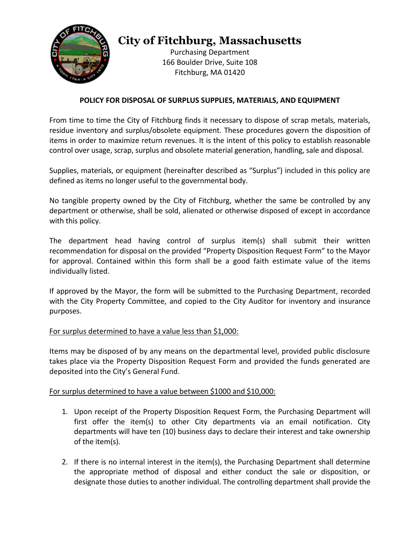

# **City of Fitchburg, Massachusetts**

Purchasing Department 166 Boulder Drive, Suite 108 Fitchburg, MA 01420

## **POLICY FOR DISPOSAL OF SURPLUS SUPPLIES, MATERIALS, AND EQUIPMENT**

From time to time the City of Fitchburg finds it necessary to dispose of scrap metals, materials, residue inventory and surplus/obsolete equipment. These procedures govern the disposition of items in order to maximize return revenues. It is the intent of this policy to establish reasonable control over usage, scrap, surplus and obsolete material generation, handling, sale and disposal.

Supplies, materials, or equipment (hereinafter described as "Surplus") included in this policy are defined as items no longer useful to the governmental body.

No tangible property owned by the City of Fitchburg, whether the same be controlled by any department or otherwise, shall be sold, alienated or otherwise disposed of except in accordance with this policy.

The department head having control of surplus item(s) shall submit their written recommendation for disposal on the provided "Property Disposition Request Form" to the Mayor for approval. Contained within this form shall be a good faith estimate value of the items individually listed.

If approved by the Mayor, the form will be submitted to the Purchasing Department, recorded with the City Property Committee, and copied to the City Auditor for inventory and insurance purposes.

### For surplus determined to have a value less than \$1,000:

Items may be disposed of by any means on the departmental level, provided public disclosure takes place via the Property Disposition Request Form and provided the funds generated are deposited into the City's General Fund.

### For surplus determined to have a value between \$1000 and \$10,000:

- 1. Upon receipt of the Property Disposition Request Form, the Purchasing Department will first offer the item(s) to other City departments via an email notification. City departments will have ten (10) business days to declare their interest and take ownership of the item(s).
- 2. If there is no internal interest in the item(s), the Purchasing Department shall determine the appropriate method of disposal and either conduct the sale or disposition, or designate those duties to another individual. The controlling department shall provide the